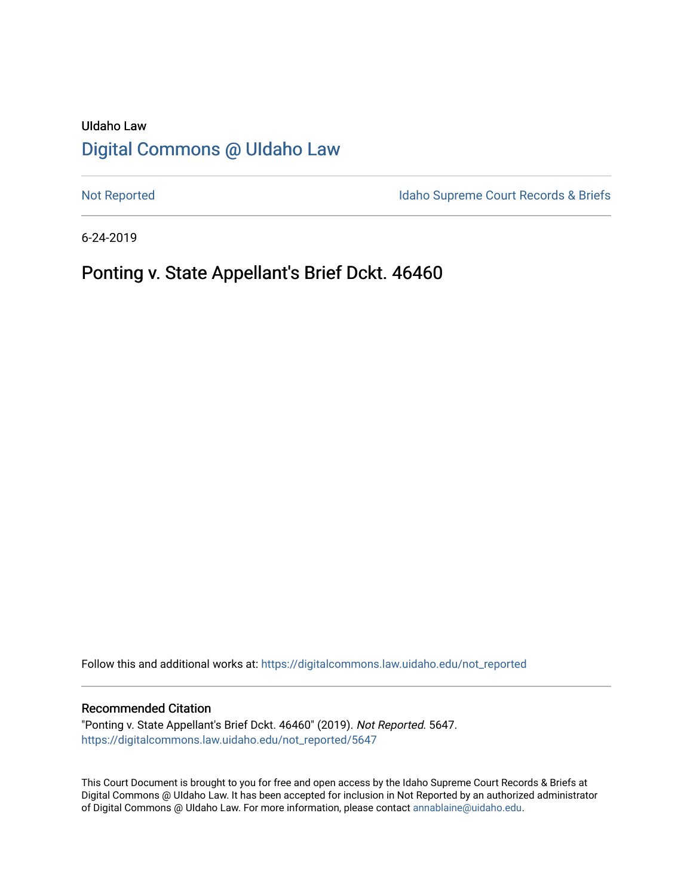# UIdaho Law [Digital Commons @ UIdaho Law](https://digitalcommons.law.uidaho.edu/)

[Not Reported](https://digitalcommons.law.uidaho.edu/not_reported) **Idaho Supreme Court Records & Briefs** 

6-24-2019

# Ponting v. State Appellant's Brief Dckt. 46460

Follow this and additional works at: [https://digitalcommons.law.uidaho.edu/not\\_reported](https://digitalcommons.law.uidaho.edu/not_reported?utm_source=digitalcommons.law.uidaho.edu%2Fnot_reported%2F5647&utm_medium=PDF&utm_campaign=PDFCoverPages) 

#### Recommended Citation

"Ponting v. State Appellant's Brief Dckt. 46460" (2019). Not Reported. 5647. [https://digitalcommons.law.uidaho.edu/not\\_reported/5647](https://digitalcommons.law.uidaho.edu/not_reported/5647?utm_source=digitalcommons.law.uidaho.edu%2Fnot_reported%2F5647&utm_medium=PDF&utm_campaign=PDFCoverPages)

This Court Document is brought to you for free and open access by the Idaho Supreme Court Records & Briefs at Digital Commons @ UIdaho Law. It has been accepted for inclusion in Not Reported by an authorized administrator of Digital Commons @ UIdaho Law. For more information, please contact [annablaine@uidaho.edu](mailto:annablaine@uidaho.edu).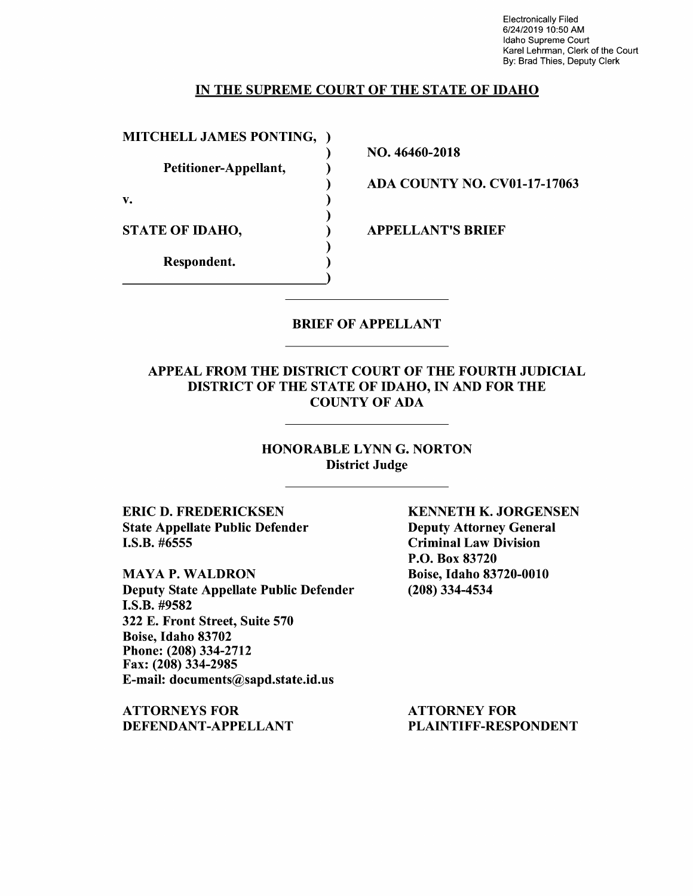Electronically Filed 6/24/2019 10:50 AM Idaho Supreme Court Karel Lehrman, Clerk of the Court By: Brad Thies, Deputy Clerk

#### IN THE SUPREME COURT OF THE STATE OF IDAHO

)

)

)

)

MITCHELL JAMES PONTING, )

Petitioner-Appellant, )

 $\mathbf{v.}$  )

STATE OF IDAHO,

Respondent. )

NO. 46460-2018

ADA COUNTY NO. CV0l-17-17063

APPELLANT'S BRIEF

### BRIEF OF APPELLANT

### APPEAL FROM THE DISTRICT COURT OF THE FOURTH JUDICIAL DISTRICT OF THE STATE OF IDAHO, IN AND FOR THE COUNTY OF ADA

### HONORABLE LYNN G. NORTON District Judge

ERIC D. FREDERICKSEN State Appellate Public Defender I.S.B. #6555

MAYAP. WALDRON Deputy State Appellate Public Defender I.S.B. #9582 322 E. Front Street, Suite 570 Boise, Idaho 83702 Phone: (208) 334-2712 Fax: (208) 334-2985 E-mail: documents@sapd.state.id.us

ATTORNEYS FOR DEFENDANT-APPELLANT KENNETH K. JORGENSEN Deputy Attorney General Criminal Law Division P.O. Box 83720 Boise, Idaho 83720-0010 (208) 334-4534

ATTORNEY FOR PLAINTIFF-RESPONDENT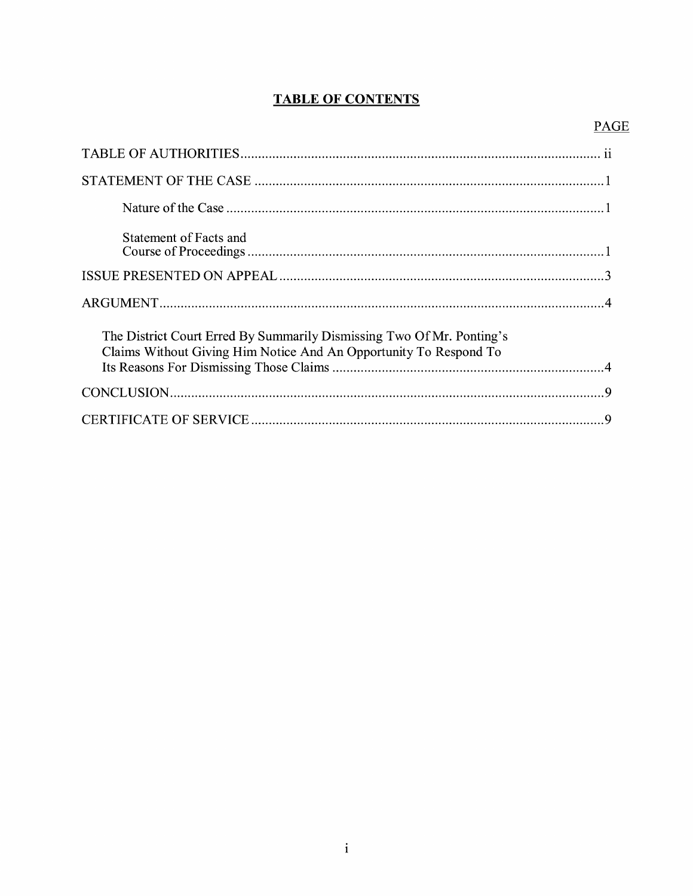# **TABLE OF CONTENTS**

# **PAGE**

| Statement of Facts and                                                                                                                     |
|--------------------------------------------------------------------------------------------------------------------------------------------|
|                                                                                                                                            |
|                                                                                                                                            |
| The District Court Erred By Summarily Dismissing Two Of Mr. Ponting's<br>Claims Without Giving Him Notice And An Opportunity To Respond To |
|                                                                                                                                            |
|                                                                                                                                            |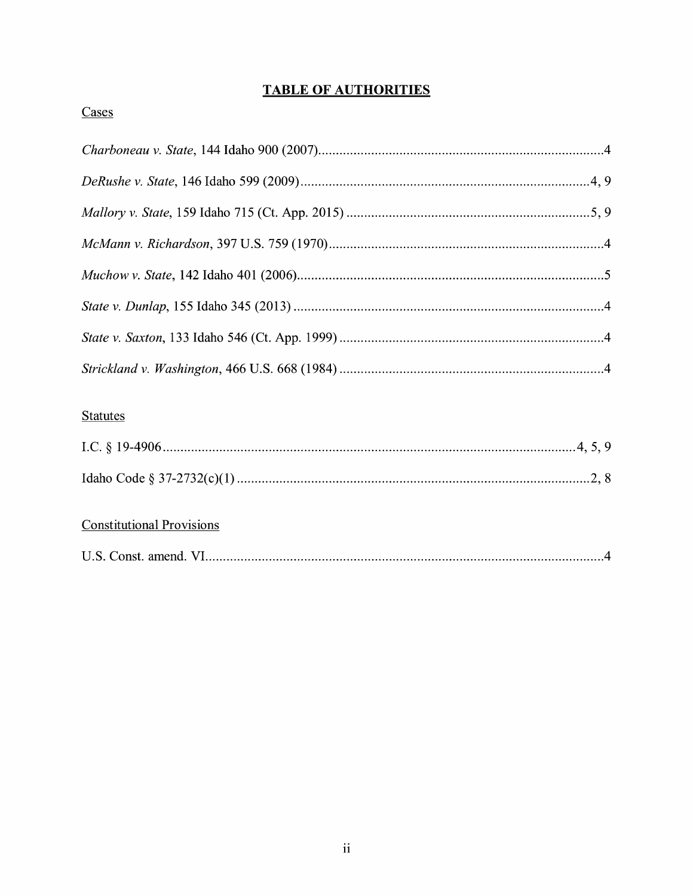# **TABLE OF AUTHORITIES**

## Cases

# **Statutes**

# **Constitutional Provisions**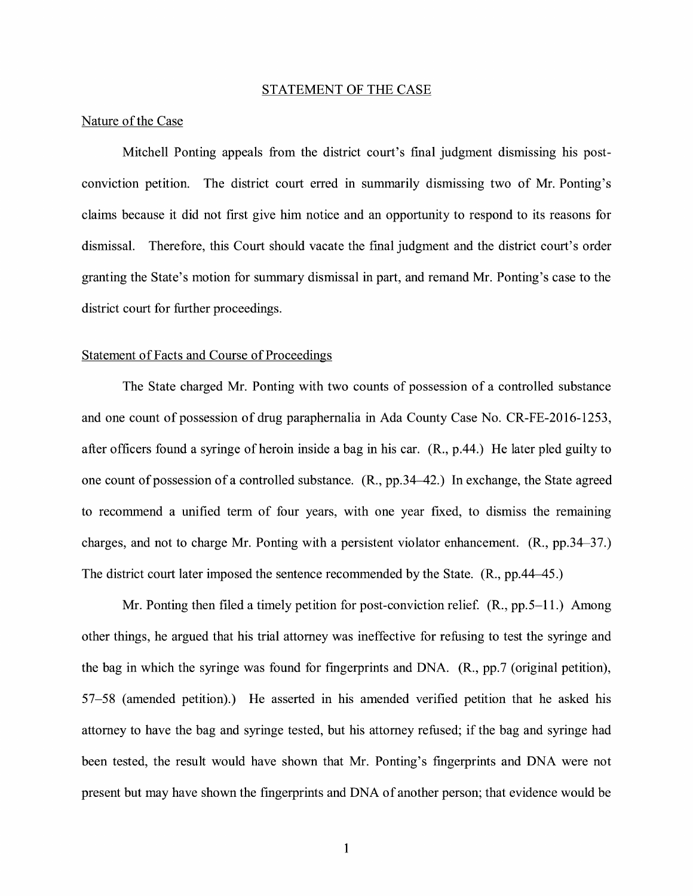#### STATEMENT OF THE CASE

#### Nature of the Case

Mitchell Ponting appeals from the district court's final judgment dismissing his postconviction petition. The district court erred in summarily dismissing two of Mr. Ponting's claims because it did not first give him notice and an opportunity to respond to its reasons for dismissal. Therefore, this Court should vacate the final judgment and the district court's order granting the State's motion for summary dismissal in part, and remand Mr. Ponting's case to the district court for further proceedings.

#### Statement of Facts and Course of Proceedings

The State charged Mr. Ponting with two counts of possession of a controlled substance and one count of possession of drug paraphernalia in Ada County Case No. CR-FE-2016-1253, after officers found a syringe of heroin inside a bag in his car. **(R.,** p.44.) He later pled guilty to one count of possession of a controlled substance. (R., pp.34-42.) In exchange, the State agreed to recommend a unified term of four years, with one year fixed, to dismiss the remaining charges, and not to charge Mr. Ponting with a persistent violator enhancement. **(R.,** pp.34-37.) The district court later imposed the sentence recommended by the State. (R., pp.44-45.)

Mr. Ponting then filed a timely petition for post-conviction relief. (R., pp. 5–11.) Among other things, he argued that his trial attorney was ineffective for refusing to test the syringe and the bag in which the syringe was found for fingerprints and DNA.  $(R_n, pp.7)$  (original petition), 57-58 (amended petition).) He asserted in his amended verified petition that he asked his attorney to have the bag and syringe tested, but his attorney refused; if the bag and syringe had been tested, the result would have shown that Mr. Ponting's fingerprints and DNA were not present but may have shown the fingerprints and DNA of another person; that evidence would be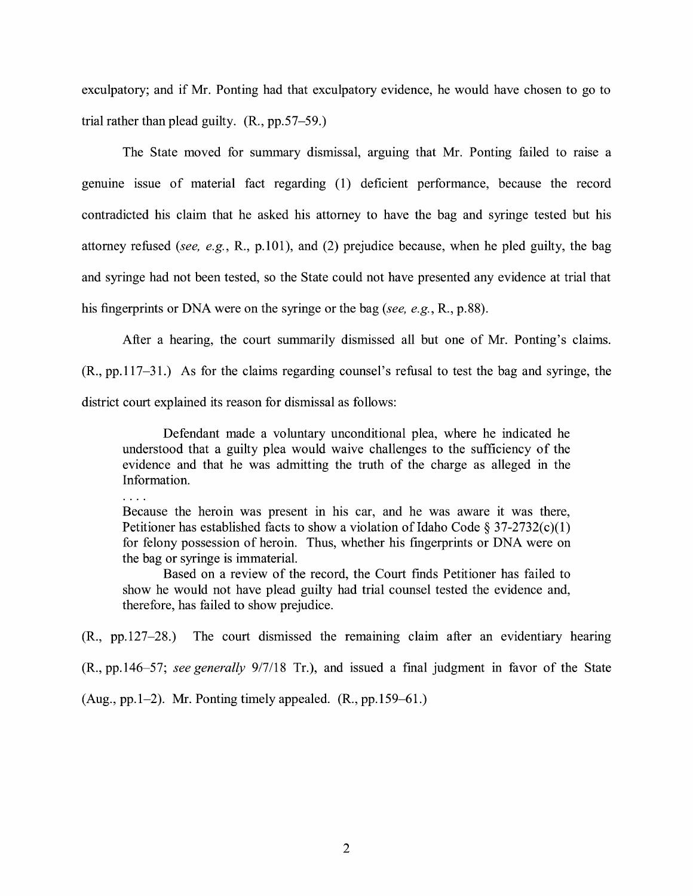exculpatory; and if Mr. Ponting had that exculpatory evidence, he would have chosen to go to trial rather than plead guilty. (R., pp.57-59.)

The State moved for summary dismissal, arguing that Mr. Ponting failed to raise a genuine issue of material fact regarding (1) deficient performance, because the record contradicted his claim that he asked his attorney to have the bag and syringe tested but his attorney refused *(see, e.g.,* R., p.101), and (2) prejudice because, when he pled guilty, the bag and syringe had not been tested, so the State could not have presented any evidence at trial that his fingerprints or DNA were on the syringe or the bag *(see, e.g.,* R., p.88).

After a hearing, the court summarily dismissed all but one of Mr. Ponting's claims.

(R., pp.117-31.) As for the claims regarding counsel's refusal to test the bag and syringe, the district court explained its reason for dismissal as follows:

Defendant made a voluntary unconditional plea, where he indicated he understood that a guilty plea would waive challenges to the sufficiency of the evidence and that he was admitting the truth of the charge as alleged in the Information.

. . . .

Because the heroin was present in his car, and he was aware it was there, Petitioner has established facts to show a violation of Idaho Code § 37-2732(c)(1) for felony possession of heroin. Thus, whether his fingerprints or DNA were on the bag or syringe is immaterial.

Based on a review of the record, the Court finds Petitioner has failed to show he would not have plead guilty had trial counsel tested the evidence and, therefore, has failed to show prejudice.

 $(R_{1}, pp.127-28.)$  The court dismissed the remaining claim after an evidentiary hearing

(R., pp.146-57; *see generally* 9/7/18 Tr.), and issued a fmal judgment in favor of the State

(Aug., pp. 1–2). Mr. Ponting timely appealed.  $(R., pp.159–61.)$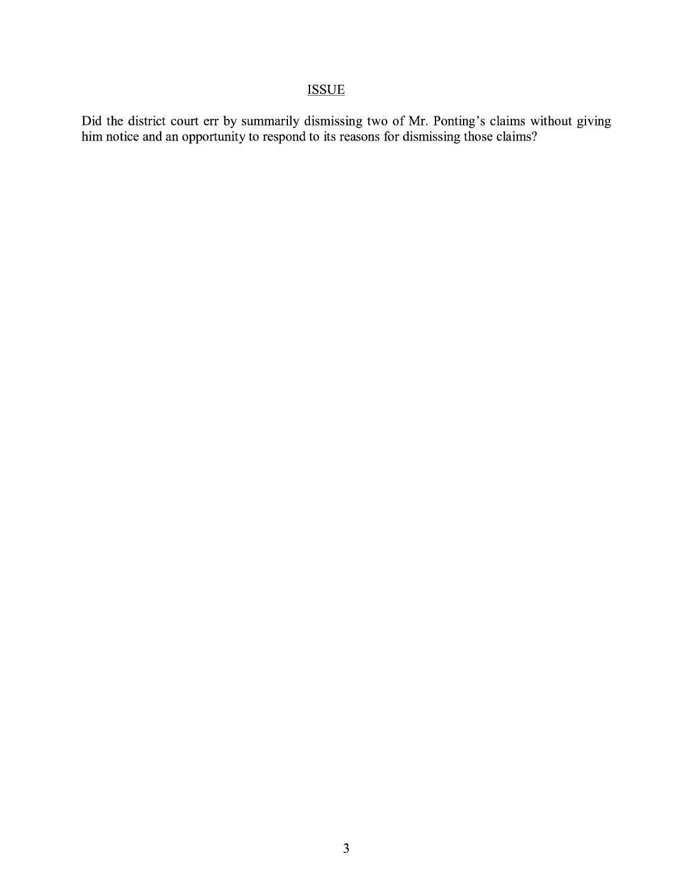# **ISSUE**

Did the district court err by summarily dismissing two of Mr. Ponting's claims without giving him notice and an opportunity to respond to its reasons for dismissing those claims?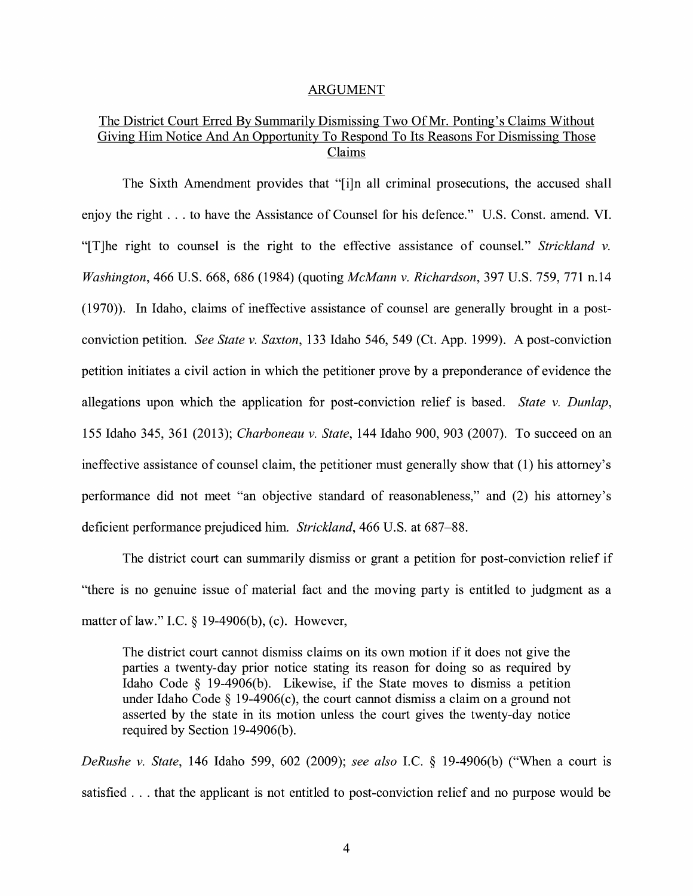#### ARGUMENT

### The District Court Erred By Summarily Dismissing Two Of Mr. Ponting's Claims Without Giving Him Notice And An Opportunity To Respond To Its Reasons For Dismissing Those Claims

The Sixth Amendment provides that "[i]n all criminal prosecutions, the accused shall enjoy the right ... to have the Assistance of Counsel for his defence." U.S. Const. amend. VI. "[T]he right to counsel is the right to the effective assistance of counsel." *Strickland v. Washington,* 466 U.S. 668, 686 (1984) (quoting *McMann v. Richardson,* 397 U.S. 759, 771 n.14 (1970)). In Idaho, claims of ineffective assistance of counsel are generally brought in a postconviction petition. *See State v. Saxton,* 133 Idaho 546, 549 (Ct. App. 1999). A post-conviction petition initiates a civil action in which the petitioner prove by a preponderance of evidence the allegations upon which the application for post-conviction relief is based. *State v. Dunlap,*  155 Idaho 345, 361 (2013); *Charboneau v. State,* 144 Idaho 900, 903 (2007). To succeed on an ineffective assistance of counsel claim, the petitioner must generally show that (1) his attorney's performance did not meet "an objective standard of reasonableness," and (2) his attorney's deficient performance prejudiced him. *Strickland,* 466 U.S. at 687-88.

The district court can summarily dismiss or grant a petition for post-conviction relief if "there is no genuine issue of material fact and the moving party is entitled to judgment as a matter of law." I.C.  $\S$  19-4906(b), (c). However,

The district court cannot dismiss claims on its own motion if it does not give the parties a twenty-day prior notice stating its reason for doing so as required by Idaho Code § 19-4906(b). Likewise, if the State moves to dismiss a petition under Idaho Code  $\S$  19-4906(c), the court cannot dismiss a claim on a ground not asserted by the state in its motion unless the court gives the twenty-day notice required by Section 19-4906(b).

*DeRushe v. State,* 146 Idaho 599, 602 (2009); *see also* I.C. § 19-4906(b) ("When a court is satisfied ... that the applicant is not entitled to post-conviction relief and no purpose would be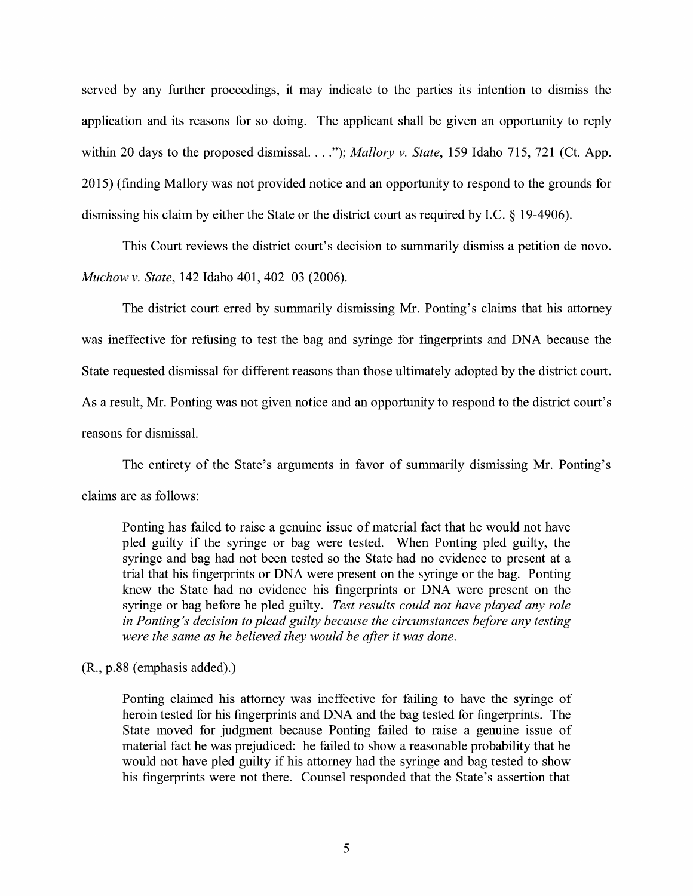served by any further proceedings, it may indicate to the parties its intention to dismiss the application and its reasons for so doing. The applicant shall be given an opportunity to reply within 20 days to the proposed dismissal. ... "); *Mallory v. State,* 159 Idaho 715, 721 (Ct. App. 2015) ( finding Mallory was not provided notice and an opportunity to respond to the grounds for dismissing his claim by either the State or the district court as required by LC. § 19-4906).

This Court reviews the district court's decision to summarily dismiss a petition de novo. *Muchow v. State,* 142 Idaho 401, 402-03 (2006).

The district court erred by summarily dismissing Mr. Ponting's claims that his attorney was ineffective for refusing to test the bag and syringe for fingerprints and DNA because the State requested dismissal for different reasons than those ultimately adopted by the district court. As a result, Mr. Ponting was not given notice and an opportunity to respond to the district court's reasons for dismissal.

The entirety of the State's arguments in favor of summarily dismissing Mr. Ponting's claims are as follows:

Ponting has failed to raise a genuine issue of material fact that he would not have pled guilty if the syringe or bag were tested. When Ponting pled guilty, the syringe and bag had not been tested so the State had no evidence to present at a trial that his fingerprints or DNA were present on the syringe or the bag. Ponting knew the State had no evidence his fingerprints or DNA were present on the syringe or bag before he pled guilty. *Test results could not have played any role in Ponting's decision to plead guilty because the circumstances before any testing were the same as he believed they would be after it was done.* 

 $(R., p.88$  (emphasis added).)

Ponting claimed his attorney was ineffective for failing to have the syringe of heroin tested for his fingerprints and DNA and the bag tested for fingerprints. The State moved for judgment because Ponting failed to raise a genuine issue of material fact he was prejudiced: he failed to show a reasonable probability that he would not have pled guilty if his attorney had the syringe and bag tested to show his fingerprints were not there. Counsel responded that the State's assertion that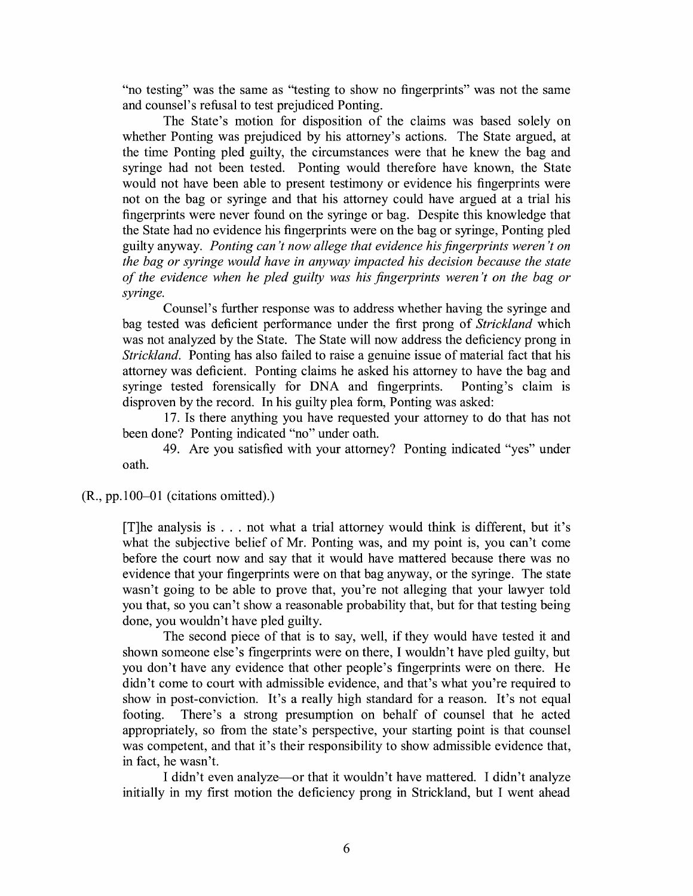"no testing" was the same as "testing to show no fingerprints" was not the same and counsel's refusal to test prejudiced Ponting.

The State's motion for disposition of the claims was based solely on whether Ponting was prejudiced by his attorney's actions. The State argued, at the time Ponting pled guilty, the circumstances were that he knew the bag and syringe had not been tested. Ponting would therefore have known, the State would not have been able to present testimony or evidence his fingerprints were not on the bag or syringe and that his attorney could have argued at a trial his fingerprints were never found on the syringe or bag. Despite this know ledge that the State had no evidence his fingerprints were on the bag or syringe, Ponting pled guilty anyway. *Ponting can 't now allege that evidence his fingerprints weren 't on the bag or syringe would have in anyway impacted his decision because the state of the evidence when he pled guilty was his fingerprints weren 't on the bag or syringe.* 

Counsel's further response was to address whether having the syringe and bag tested was deficient performance under the first prong of *Strickland* which was not analyzed by the State. The State will now address the deficiency prong in *Strickland.* Ponting has also failed to raise a genuine issue of material fact that his attorney was deficient. Ponting claims he asked his attorney to have the bag and syringe tested forensically for DNA and fingerprints. Ponting's claim is disproven by the record. In his guilty plea form, Ponting was asked:

17. Is there anything you have requested your attorney to do that has not been done? Ponting indicated "no" under oath.

49. Are you satisfied with your attorney? Ponting indicated "yes" under oath.

(R., pp.100-01 (citations omitted).)

[T]he analysis is . . . not what a trial attorney would think is different, but it's what the subjective belief of Mr. Ponting was, and my point is, you can't come before the court now and say that it would have mattered because there was no evidence that your fingerprints were on that bag anyway, or the syringe. The state wasn't going to be able to prove that, you're not alleging that your lawyer told you that, so you can't show a reasonable probability that, but for that testing being done, you wouldn't have pled guilty.

The second piece of that is to say, well, if they would have tested it and shown someone else's fingerprints were on there, I wouldn't have pled guilty, but you don't have any evidence that other people's fingerprints were on there. He didn't come to court with admissible evidence, and that's what you're required to show in post-conviction. It's a really high standard for a reason. It's not equal footing. There's a strong presumption on behalf of counsel that he acted appropriately, so from the state's perspective, your starting point is that counsel was competent, and that it's their responsibility to show admissible evidence that, in fact, he wasn't.

I didn't even analyze—or that it wouldn't have mattered. I didn't analyze initially in my first motion the deficiency prong in Strickland, but I went ahead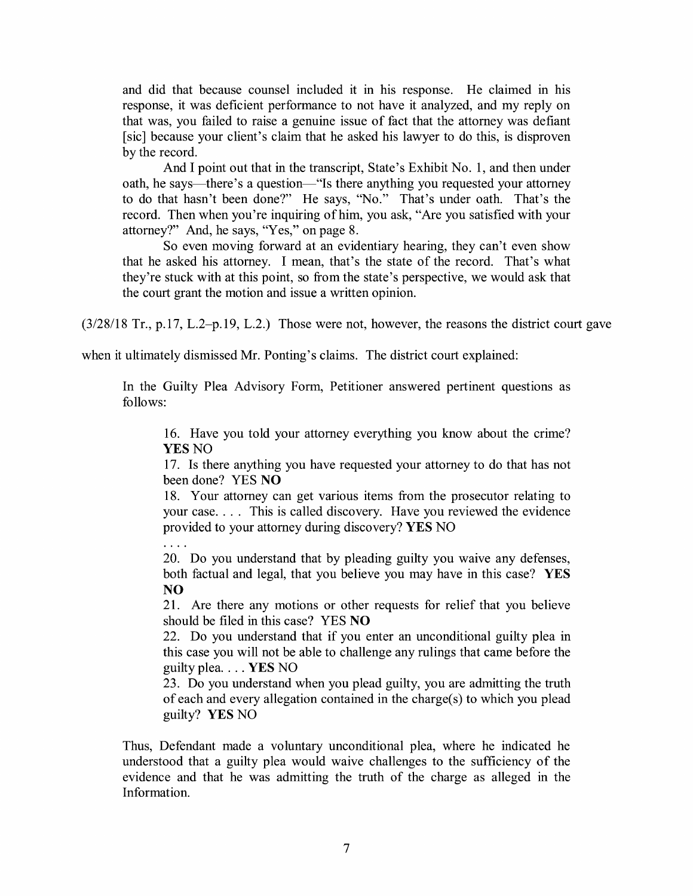and did that because counsel included it in his response. He claimed in his response, it was deficient performance to not have it analyzed, and my reply on that was, you failed to raise a genuine issue of fact that the attorney was defiant [sic] because your client's claim that he asked his lawyer to do this, is disproven by the record.

And I point out that in the transcript, State's Exhibit No. **1,** and then under oath, he says—there's a question—"Is there anything you requested your attorney to do that hasn't been done?" He says, "No." That's under oath. That's the record. Then when you're inquiring of him, you ask, "Are you satisfied with your attorney?" And, he says, "Yes," on page 8.

So even moving forward at an evidentiary hearing, they can't even show that he asked his attorney. I mean, that's the state of the record. That's what they're stuck with at this point, so from the state's perspective, we would ask that the court grant the motion and issue a written opinion.

(3/28/18 Tr., p.17, L.2-p.19, L.2.) Those were not, however, the reasons the district court gave

when it ultimately dismissed Mr. Ponting's claims. The district court explained:

In the Guilty Plea Advisory Form, Petitioner answered pertinent questions as follows:

16. Have you told your attorney everything you know about the crime? YES NO

**1** 7. Is there anything you have requested your attorney to do that has not been done? YES **NO** 

18. Your attorney can get various items from the prosecutor relating to your case .... This is called discovery. Have you reviewed the evidence provided to your attorney during discovery? **YES** NO

 $\ldots$ 

20. Do you understand that by pleading guilty you waive any defenses, both factual and legal, that you believe you may have in this case? **YES NO** 

21. Are there any motions or other requests for relief that you believe should be filed in this case? YES **NO** 

22. Do you understand that if you enter an unconditional guilty plea in this case you will not be able to challenge any rulings that came before the guilty plea .... YES NO

23. Do you understand when you plead guilty, you are admitting the truth of each and every allegation contained in the charge( s) to which you plead guilty? **YES** NO

Thus, Defendant made a voluntary unconditional plea, where he indicated he understood that a guilty plea would waive challenges to the sufficiency of the evidence and that he was admitting the truth of the charge as alleged in the Information.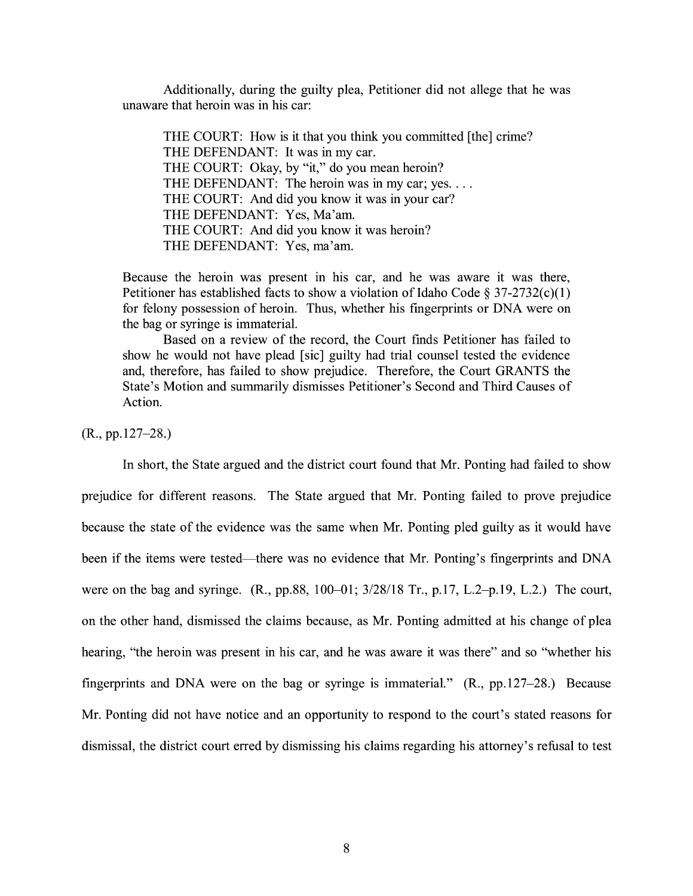Additionally, during the guilty plea, Petitioner did not allege that he was unaware that heroin was in his car:

THE COURT: How is it that you think you committed [the] crime? THE DEFENDANT: It was in my car. THE COURT: Okay, by "it," do you mean heroin? THE DEFENDANT: The heroin was in my car; yes. ... THE COURT: And did you know it was in your car? THE DEFENDANT: Yes, Ma'am. THE COURT: And did you know it was heroin? THE DEFENDANT: Yes, ma'am.

Because the heroin was present in his car, and he was aware it was there, Petitioner has established facts to show a violation of Idaho Code § 37-2732(c)(1) for felony possession of heroin. Thus, whether his fingerprints or DNA were on the bag or syringe is immaterial.

Based on a review of the record, the Court finds Petitioner has failed to show he would not have plead [sic] guilty had trial counsel tested the evidence and, therefore, has failed to show prejudice. Therefore, the Court GRANTS the State's Motion and summarily dismisses Petitioner's Second and Third Causes of Action.

(R., pp.127-28.)

In short, the State argued and the district court found that Mr. Ponting had failed to show prejudice for different reasons. The State argued that Mr. Ponting failed to prove prejudice because the state of the evidence was the same when Mr. Ponting pled guilty as it would have been if the items were tested—there was no evidence that Mr. Ponting's fingerprints and DNA were on the bag and syringe. (R., pp.88, 100-01; 3/28/18 Tr., p.17, L.2-p.19, L.2.) The court, on the other hand, dismissed the claims because, as Mr. Ponting admitted at his change of plea hearing, "the heroin was present in his car, and he was aware it was there" and so "whether his fingerprints and DNA were on the bag or syringe is immaterial." (R., pp.127-28.) Because Mr. Ponting did not have notice and an opportunity to respond to the court's stated reasons for dismissal, the district court erred by dismissing his claims regarding his attorney's refusal to test